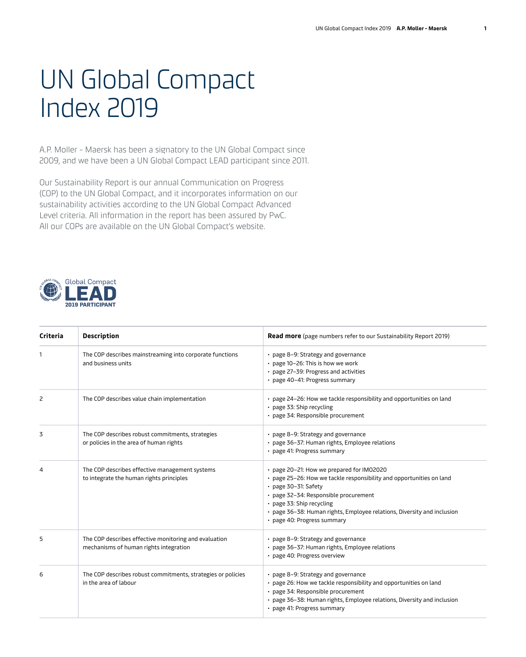## UN Global Compact Index 2019

A.P. Moller - Maersk has been a signatory to the UN Global Compact since 2009, and we have been a UN Global Compact LEAD participant since 2011.

Our Sustainability Report is our annual Communication on Progress (COP) to the UN Global Compact, and it incorporates information on our sustainability activities according to the UN Global Compact Advanced Level criteria. All information in the report has been assured by PwC. All our COPs are available on the UN Global Compact's website.



| Criteria       | <b>Description</b>                                                                              | <b>Read more</b> (page numbers refer to our Sustainability Report 2019)                                                                                                                                                                                                                                                   |
|----------------|-------------------------------------------------------------------------------------------------|---------------------------------------------------------------------------------------------------------------------------------------------------------------------------------------------------------------------------------------------------------------------------------------------------------------------------|
| 1              | The COP describes mainstreaming into corporate functions<br>and business units                  | • page 8-9: Strategy and governance<br>• page 10-26: This is how we work<br>• page 27-39: Progress and activities<br>· page 40-41: Progress summary                                                                                                                                                                       |
| 2              | The COP describes value chain implementation                                                    | • page 24-26: How we tackle responsibility and opportunities on land<br>• page 33: Ship recycling<br>· page 34: Responsible procurement                                                                                                                                                                                   |
| 3              | The COP describes robust commitments, strategies<br>or policies in the area of human rights     | • page 8-9: Strategy and governance<br>· page 36-37: Human rights, Employee relations<br>· page 41: Progress summary                                                                                                                                                                                                      |
| $\overline{4}$ | The COP describes effective management systems<br>to integrate the human rights principles      | • page 20-21: How we prepared for IM02020<br>• page 25-26: How we tackle responsibility and opportunities on land<br>• page 30-31: Safety<br>· page 32-34: Responsible procurement<br>• page 33: Ship recycling<br>• page 36-38: Human rights, Employee relations, Diversity and inclusion<br>· page 40: Progress summary |
| 5              | The COP describes effective monitoring and evaluation<br>mechanisms of human rights integration | • page 8-9: Strategy and governance<br>· page 36-37: Human rights, Employee relations<br>· page 40: Progress overview                                                                                                                                                                                                     |
| 6              | The COP describes robust commitments, strategies or policies<br>in the area of labour           | • page 8-9: Strategy and governance<br>• page 26: How we tackle responsibility and opportunities on land<br>· page 34: Responsible procurement<br>• page 36-38: Human rights, Employee relations, Diversity and inclusion<br>· page 41: Progress summary                                                                  |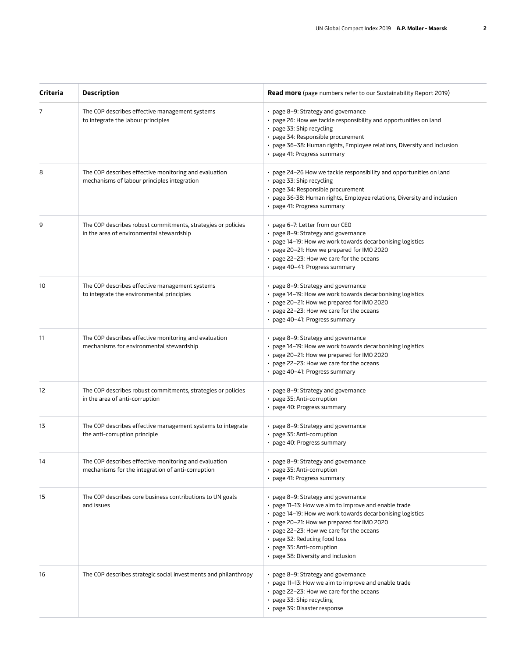| Criteria | <b>Description</b>                                                                                         | <b>Read more</b> (page numbers refer to our Sustainability Report 2019)                                                                                                                                                                                                                                                                                 |
|----------|------------------------------------------------------------------------------------------------------------|---------------------------------------------------------------------------------------------------------------------------------------------------------------------------------------------------------------------------------------------------------------------------------------------------------------------------------------------------------|
| 7        | The COP describes effective management systems<br>to integrate the labour principles                       | • page 8-9: Strategy and governance<br>• page 26: How we tackle responsibility and opportunities on land<br>• page 33: Ship recycling<br>· page 34: Responsible procurement<br>• page 36-38: Human rights, Employee relations, Diversity and inclusion<br>• page 41: Progress summary                                                                   |
| 8        | The COP describes effective monitoring and evaluation<br>mechanisms of labour principles integration       | • page 24-26 How we tackle responsibility and opportunities on land<br>• page 33: Ship recycling<br>· page 34: Responsible procurement<br>• page 36-38: Human rights, Employee relations, Diversity and inclusion<br>• page 41: Progress summary                                                                                                        |
| 9        | The COP describes robust commitments, strategies or policies<br>in the area of environmental stewardship   | • page 6-7: Letter from our CEO<br>• page 8-9: Strategy and governance<br>• page 14-19: How we work towards decarbonising logistics<br>• page 20-21: How we prepared for IMO 2020<br>• page 22-23: How we care for the oceans<br>• page 40-41: Progress summary                                                                                         |
| 10       | The COP describes effective management systems<br>to integrate the environmental principles                | • page 8-9: Strategy and governance<br>• page 14-19: How we work towards decarbonising logistics<br>• page 20-21: How we prepared for IMO 2020<br>• page 22-23: How we care for the oceans<br>• page 40-41: Progress summary                                                                                                                            |
| 11       | The COP describes effective monitoring and evaluation<br>mechanisms for environmental stewardship          | • page 8-9: Strategy and governance<br>• page 14-19: How we work towards decarbonising logistics<br>• page 20-21: How we prepared for IMO 2020<br>• page 22-23: How we care for the oceans<br>• page 40-41: Progress summary                                                                                                                            |
| 12       | The COP describes robust commitments, strategies or policies<br>in the area of anti-corruption             | • page 8-9: Strategy and governance<br>• page 35: Anti-corruption<br>· page 40: Progress summary                                                                                                                                                                                                                                                        |
| 13       | The COP describes effective management systems to integrate<br>the anti-corruption principle               | • page 8-9: Strategy and governance<br>• page 35: Anti-corruption<br>· page 40: Progress summary                                                                                                                                                                                                                                                        |
| 14       | The COP describes effective monitoring and evaluation<br>mechanisms for the integration of anti-corruption | • page 8-9: Strategy and governance<br>• page 35: Anti-corruption<br>• page 41: Progress summary                                                                                                                                                                                                                                                        |
| 15       | The COP describes core business contributions to UN goals<br>and issues                                    | • page 8-9: Strategy and governance<br>• page 11–13: How we aim to improve and enable trade<br>• page 14-19: How we work towards decarbonising logistics<br>• page 20-21: How we prepared for IMO 2020<br>• page 22-23: How we care for the oceans<br>• page 32: Reducing food loss<br>• page 35: Anti-corruption<br>• page 38: Diversity and inclusion |
| 16       | The COP describes strategic social investments and philanthropy                                            | • page 8-9: Strategy and governance<br>• page 11-13: How we aim to improve and enable trade<br>• page 22-23: How we care for the oceans<br>• page 33: Ship recycling<br>• page 39: Disaster response                                                                                                                                                    |